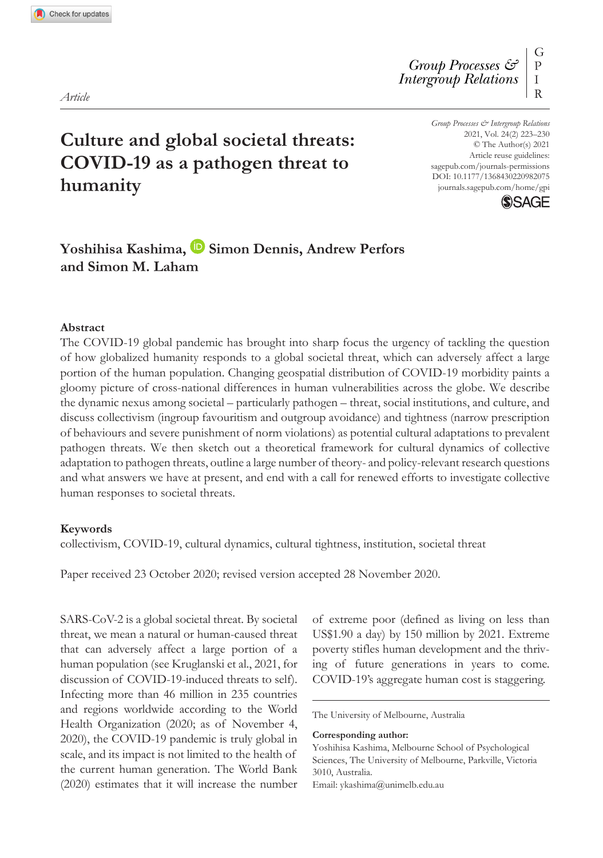DOI: 10.1177/1368430220982075 *Group Processes & Intergroup Relations* 2021, Vol. 24(2) 223–230 © The Author(s) 2021 Article reuse guidelines: [sagepub.com/journals-permissions](https://uk.sagepub.com/en-gb/journals-permissions) [journals.sagepub.com/home/gpi](https://journals.sagepub.com/home/gpi)



# **Culture and global societal threats: COVID-19 as a pathogen threat to humanity**

# Yoshihisa Kashima, **D** Simon Dennis, Andrew Perfors **and Simon M. Laham**

#### **Abstract**

The COVID-19 global pandemic has brought into sharp focus the urgency of tackling the question of how globalized humanity responds to a global societal threat, which can adversely affect a large portion of the human population. Changing geospatial distribution of COVID-19 morbidity paints a gloomy picture of cross-national differences in human vulnerabilities across the globe. We describe the dynamic nexus among societal – particularly pathogen – threat, social institutions, and culture, and discuss collectivism (ingroup favouritism and outgroup avoidance) and tightness (narrow prescription of behaviours and severe punishment of norm violations) as potential cultural adaptations to prevalent pathogen threats. We then sketch out a theoretical framework for cultural dynamics of collective adaptation to pathogen threats, outline a large number of theory- and policy-relevant research questions and what answers we have at present, and end with a call for renewed efforts to investigate collective human responses to societal threats.

#### **Keywords**

collectivism, COVID-19, cultural dynamics, cultural tightness, institution, societal threat

Paper received 23 October 2020; revised version accepted 28 November 2020.

SARS-CoV-2 is a global societal threat. By societal threat, we mean a natural or human-caused threat that can adversely affect a large portion of a human population (see Kruglanski et al., 2021, for discussion of COVID-19-induced threats to self). Infecting more than 46 million in 235 countries and regions worldwide according to the World Health Organization (2020; as of November 4, 2020), the COVID-19 pandemic is truly global in scale, and its impact is not limited to the health of the current human generation. The World Bank (2020) estimates that it will increase the number of extreme poor (defined as living on less than US\$1.90 a day) by 150 million by 2021. Extreme poverty stifles human development and the thriving of future generations in years to come. COVID-19's aggregate human cost is staggering.

The University of Melbourne, Australia

**Corresponding author:**

Yoshihisa Kashima, Melbourne School of Psychological Sciences, The University of Melbourne, Parkville, Victoria 3010, Australia. Email: [ykashima@unimelb.edu.au](mailto:ykashima@unimelb.edu.au)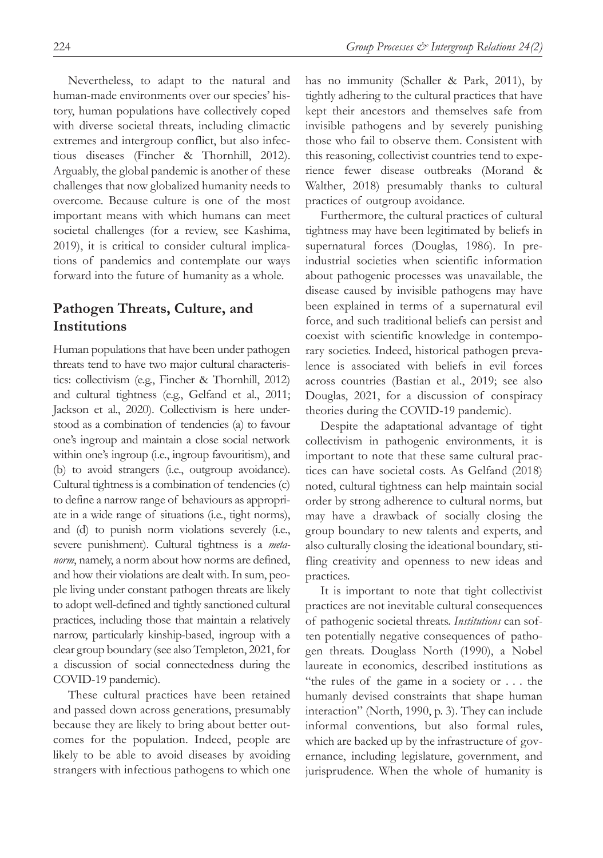Nevertheless, to adapt to the natural and human-made environments over our species' history, human populations have collectively coped with diverse societal threats, including climactic extremes and intergroup conflict, but also infectious diseases (Fincher & Thornhill, 2012). Arguably, the global pandemic is another of these challenges that now globalized humanity needs to overcome. Because culture is one of the most important means with which humans can meet societal challenges (for a review, see Kashima, 2019), it is critical to consider cultural implications of pandemics and contemplate our ways forward into the future of humanity as a whole.

#### **Pathogen Threats, Culture, and Institutions**

Human populations that have been under pathogen threats tend to have two major cultural characteristics: collectivism (e.g., Fincher & Thornhill, 2012) and cultural tightness (e.g., Gelfand et al., 2011; Jackson et al., 2020). Collectivism is here understood as a combination of tendencies (a) to favour one's ingroup and maintain a close social network within one's ingroup (i.e., ingroup favouritism), and (b) to avoid strangers (i.e., outgroup avoidance). Cultural tightness is a combination of tendencies (c) to define a narrow range of behaviours as appropriate in a wide range of situations (i.e., tight norms), and (d) to punish norm violations severely (i.e., severe punishment). Cultural tightness is a *metanorm*, namely, a norm about how norms are defined, and how their violations are dealt with. In sum, people living under constant pathogen threats are likely to adopt well-defined and tightly sanctioned cultural practices, including those that maintain a relatively narrow, particularly kinship-based, ingroup with a clear group boundary (see also Templeton, 2021, for a discussion of social connectedness during the COVID-19 pandemic).

These cultural practices have been retained and passed down across generations, presumably because they are likely to bring about better outcomes for the population. Indeed, people are likely to be able to avoid diseases by avoiding strangers with infectious pathogens to which one

has no immunity (Schaller & Park, 2011), by tightly adhering to the cultural practices that have kept their ancestors and themselves safe from invisible pathogens and by severely punishing those who fail to observe them. Consistent with this reasoning, collectivist countries tend to experience fewer disease outbreaks (Morand & Walther, 2018) presumably thanks to cultural practices of outgroup avoidance.

Furthermore, the cultural practices of cultural tightness may have been legitimated by beliefs in supernatural forces (Douglas, 1986). In preindustrial societies when scientific information about pathogenic processes was unavailable, the disease caused by invisible pathogens may have been explained in terms of a supernatural evil force, and such traditional beliefs can persist and coexist with scientific knowledge in contemporary societies. Indeed, historical pathogen prevalence is associated with beliefs in evil forces across countries (Bastian et al., 2019; see also Douglas, 2021, for a discussion of conspiracy theories during the COVID-19 pandemic).

Despite the adaptational advantage of tight collectivism in pathogenic environments, it is important to note that these same cultural practices can have societal costs. As Gelfand (2018) noted, cultural tightness can help maintain social order by strong adherence to cultural norms, but may have a drawback of socially closing the group boundary to new talents and experts, and also culturally closing the ideational boundary, stifling creativity and openness to new ideas and practices.

It is important to note that tight collectivist practices are not inevitable cultural consequences of pathogenic societal threats. *Institutions* can soften potentially negative consequences of pathogen threats. Douglass North (1990), a Nobel laureate in economics, described institutions as "the rules of the game in a society or . . . the humanly devised constraints that shape human interaction" (North, 1990, p. 3). They can include informal conventions, but also formal rules, which are backed up by the infrastructure of governance, including legislature, government, and jurisprudence. When the whole of humanity is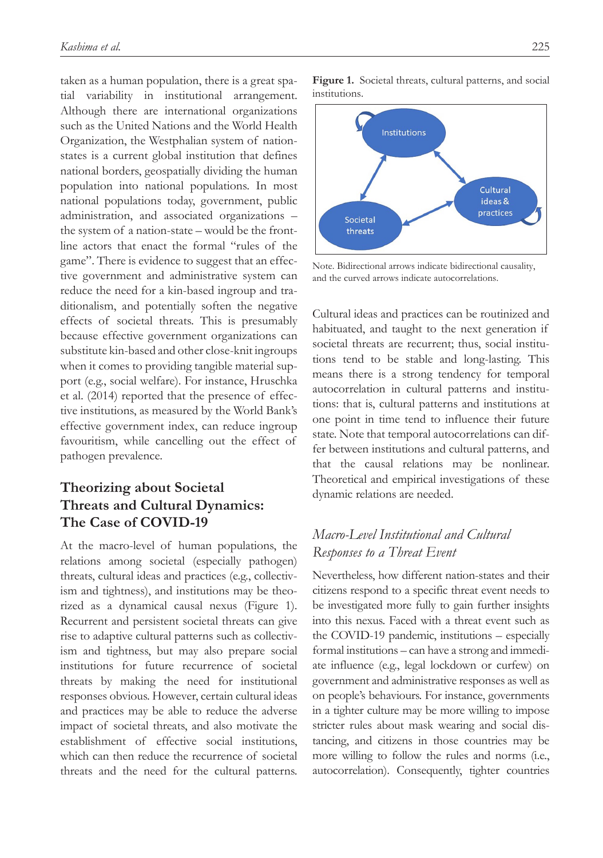taken as a human population, there is a great spatial variability in institutional arrangement. Although there are international organizations such as the United Nations and the World Health Organization, the Westphalian system of nationstates is a current global institution that defines national borders, geospatially dividing the human population into national populations. In most national populations today, government, public administration, and associated organizations – the system of a nation-state – would be the frontline actors that enact the formal "rules of the game". There is evidence to suggest that an effective government and administrative system can reduce the need for a kin-based ingroup and traditionalism, and potentially soften the negative effects of societal threats. This is presumably because effective government organizations can substitute kin-based and other close-knit ingroups when it comes to providing tangible material support (e.g., social welfare). For instance, Hruschka et al. (2014) reported that the presence of effective institutions, as measured by the World Bank's effective government index, can reduce ingroup favouritism, while cancelling out the effect of pathogen prevalence.

# **Theorizing about Societal Threats and Cultural Dynamics: The Case of COVID-19**

At the macro-level of human populations, the relations among societal (especially pathogen) threats, cultural ideas and practices (e.g., collectivism and tightness), and institutions may be theorized as a dynamical causal nexus (Figure 1). Recurrent and persistent societal threats can give rise to adaptive cultural patterns such as collectivism and tightness, but may also prepare social institutions for future recurrence of societal threats by making the need for institutional responses obvious. However, certain cultural ideas and practices may be able to reduce the adverse impact of societal threats, and also motivate the establishment of effective social institutions, which can then reduce the recurrence of societal threats and the need for the cultural patterns.

**Figure 1.** Societal threats, cultural patterns, and social institutions.



Note. Bidirectional arrows indicate bidirectional causality, and the curved arrows indicate autocorrelations.

Cultural ideas and practices can be routinized and habituated, and taught to the next generation if societal threats are recurrent; thus, social institutions tend to be stable and long-lasting. This means there is a strong tendency for temporal autocorrelation in cultural patterns and institutions: that is, cultural patterns and institutions at one point in time tend to influence their future state. Note that temporal autocorrelations can differ between institutions and cultural patterns, and that the causal relations may be nonlinear. Theoretical and empirical investigations of these dynamic relations are needed.

## *Macro-Level Institutional and Cultural Responses to a Threat Event*

Nevertheless, how different nation-states and their citizens respond to a specific threat event needs to be investigated more fully to gain further insights into this nexus. Faced with a threat event such as the COVID-19 pandemic, institutions – especially formal institutions – can have a strong and immediate influence (e.g., legal lockdown or curfew) on government and administrative responses as well as on people's behaviours. For instance, governments in a tighter culture may be more willing to impose stricter rules about mask wearing and social distancing, and citizens in those countries may be more willing to follow the rules and norms (i.e., autocorrelation). Consequently, tighter countries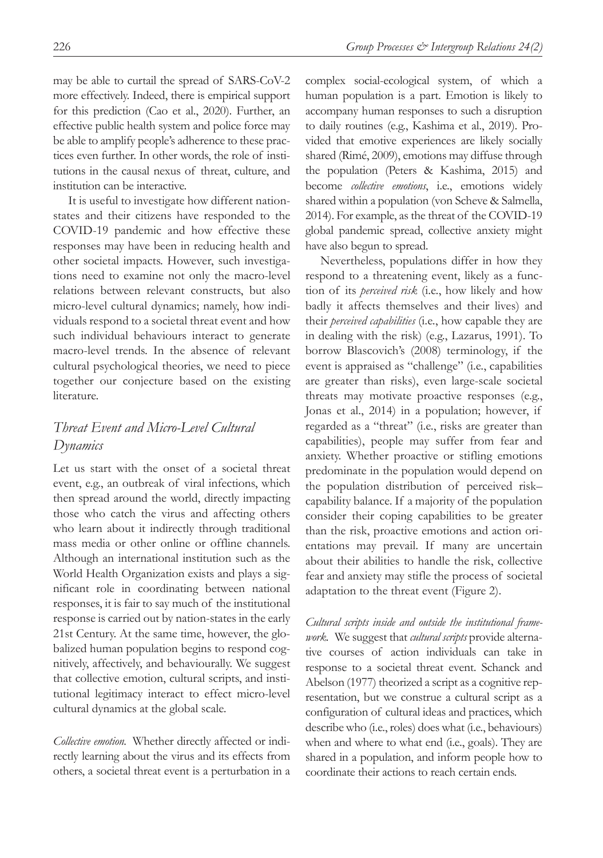may be able to curtail the spread of SARS-CoV-2 more effectively. Indeed, there is empirical support for this prediction (Cao et al., 2020). Further, an effective public health system and police force may be able to amplify people's adherence to these practices even further. In other words, the role of institutions in the causal nexus of threat, culture, and institution can be interactive.

It is useful to investigate how different nationstates and their citizens have responded to the COVID-19 pandemic and how effective these responses may have been in reducing health and other societal impacts. However, such investigations need to examine not only the macro-level relations between relevant constructs, but also micro-level cultural dynamics; namely, how individuals respond to a societal threat event and how such individual behaviours interact to generate macro-level trends. In the absence of relevant cultural psychological theories, we need to piece together our conjecture based on the existing literature.

### *Threat Event and Micro-Level Cultural Dynamics*

Let us start with the onset of a societal threat event, e.g., an outbreak of viral infections, which then spread around the world, directly impacting those who catch the virus and affecting others who learn about it indirectly through traditional mass media or other online or offline channels. Although an international institution such as the World Health Organization exists and plays a significant role in coordinating between national responses, it is fair to say much of the institutional response is carried out by nation-states in the early 21st Century. At the same time, however, the globalized human population begins to respond cognitively, affectively, and behaviourally. We suggest that collective emotion, cultural scripts, and institutional legitimacy interact to effect micro-level cultural dynamics at the global scale.

*Collective emotion.* Whether directly affected or indirectly learning about the virus and its effects from others, a societal threat event is a perturbation in a complex social-ecological system, of which a human population is a part. Emotion is likely to accompany human responses to such a disruption to daily routines (e.g., Kashima et al., 2019). Provided that emotive experiences are likely socially shared (Rimé, 2009), emotions may diffuse through the population (Peters & Kashima, 2015) and become *collective emotions*, i.e., emotions widely shared within a population (von Scheve & Salmella, 2014). For example, as the threat of the COVID-19 global pandemic spread, collective anxiety might have also begun to spread.

Nevertheless, populations differ in how they respond to a threatening event, likely as a function of its *perceived risk* (i.e., how likely and how badly it affects themselves and their lives) and their *perceived capabilities* (i.e., how capable they are in dealing with the risk) (e.g., Lazarus, 1991). To borrow Blascovich's (2008) terminology, if the event is appraised as "challenge" (i.e., capabilities are greater than risks), even large-scale societal threats may motivate proactive responses (e.g., Jonas et al., 2014) in a population; however, if regarded as a "threat" (i.e., risks are greater than capabilities), people may suffer from fear and anxiety. Whether proactive or stifling emotions predominate in the population would depend on the population distribution of perceived risk– capability balance. If a majority of the population consider their coping capabilities to be greater than the risk, proactive emotions and action orientations may prevail. If many are uncertain about their abilities to handle the risk, collective fear and anxiety may stifle the process of societal adaptation to the threat event (Figure 2).

*Cultural scripts inside and outside the institutional framework.* We suggest that *cultural scripts* provide alternative courses of action individuals can take in response to a societal threat event. Schanck and Abelson (1977) theorized a script as a cognitive representation, but we construe a cultural script as a configuration of cultural ideas and practices, which describe who (i.e., roles) does what (i.e., behaviours) when and where to what end (i.e., goals). They are shared in a population, and inform people how to coordinate their actions to reach certain ends.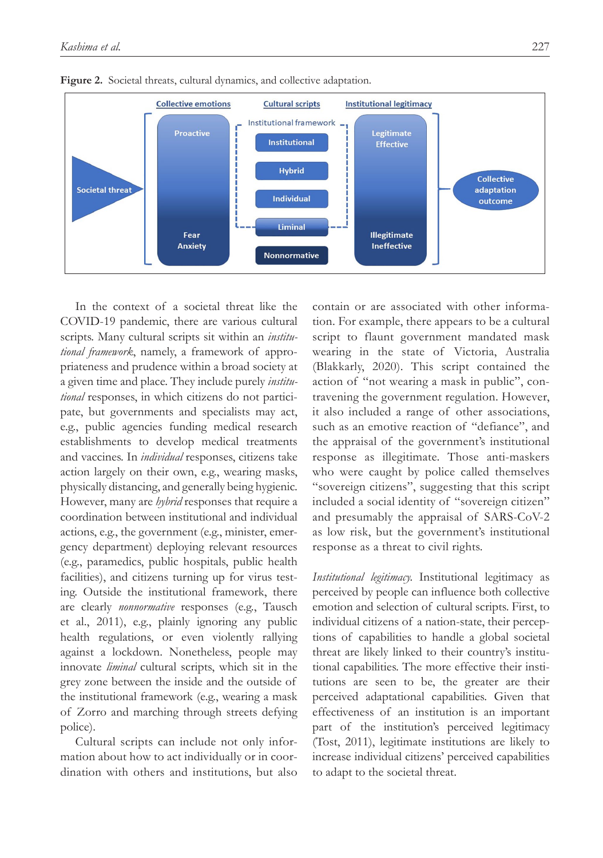



In the context of a societal threat like the COVID-19 pandemic, there are various cultural scripts. Many cultural scripts sit within an *institutional framework*, namely, a framework of appropriateness and prudence within a broad society at a given time and place. They include purely *institutional* responses, in which citizens do not participate, but governments and specialists may act, e.g., public agencies funding medical research establishments to develop medical treatments and vaccines. In *individual* responses, citizens take action largely on their own, e.g., wearing masks, physically distancing, and generally being hygienic. However, many are *hybrid* responses that require a coordination between institutional and individual actions, e.g., the government (e.g., minister, emergency department) deploying relevant resources (e.g., paramedics, public hospitals, public health facilities), and citizens turning up for virus testing. Outside the institutional framework, there are clearly *nonnormative* responses (e.g., Tausch et al., 2011), e.g., plainly ignoring any public health regulations, or even violently rallying against a lockdown. Nonetheless, people may innovate *liminal* cultural scripts, which sit in the grey zone between the inside and the outside of the institutional framework (e.g., wearing a mask of Zorro and marching through streets defying police).

Cultural scripts can include not only information about how to act individually or in coordination with others and institutions, but also

contain or are associated with other information. For example, there appears to be a cultural script to flaunt government mandated mask wearing in the state of Victoria, Australia (Blakkarly, 2020). This script contained the action of "not wearing a mask in public", contravening the government regulation. However, it also included a range of other associations, such as an emotive reaction of "defiance", and the appraisal of the government's institutional response as illegitimate. Those anti-maskers who were caught by police called themselves "sovereign citizens", suggesting that this script included a social identity of "sovereign citizen" and presumably the appraisal of SARS-CoV-2 as low risk, but the government's institutional response as a threat to civil rights.

*Institutional legitimacy.* Institutional legitimacy as perceived by people can influence both collective emotion and selection of cultural scripts. First, to individual citizens of a nation-state, their perceptions of capabilities to handle a global societal threat are likely linked to their country's institutional capabilities. The more effective their institutions are seen to be, the greater are their perceived adaptational capabilities. Given that effectiveness of an institution is an important part of the institution's perceived legitimacy (Tost, 2011), legitimate institutions are likely to increase individual citizens' perceived capabilities to adapt to the societal threat.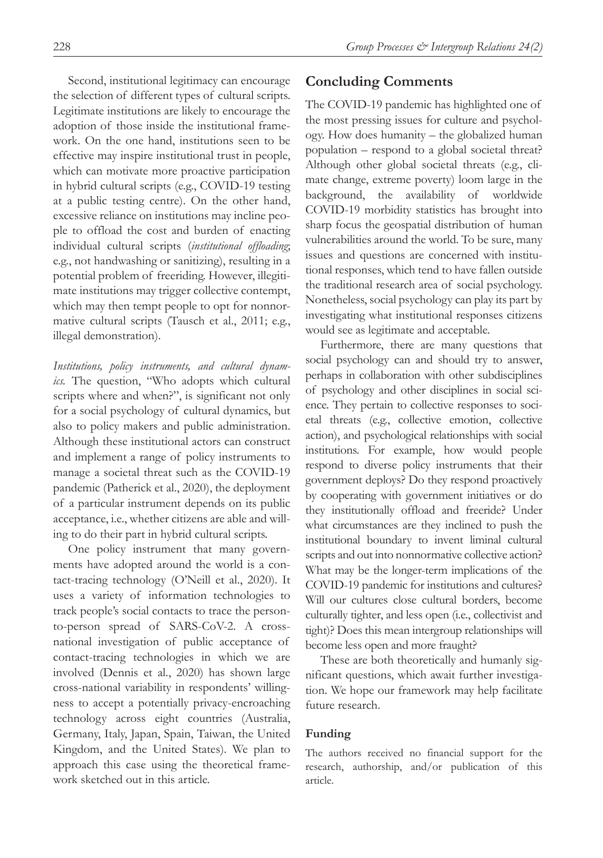Second, institutional legitimacy can encourage the selection of different types of cultural scripts. Legitimate institutions are likely to encourage the adoption of those inside the institutional framework. On the one hand, institutions seen to be effective may inspire institutional trust in people, which can motivate more proactive participation in hybrid cultural scripts (e.g., COVID-19 testing at a public testing centre). On the other hand, excessive reliance on institutions may incline people to offload the cost and burden of enacting individual cultural scripts (*institutional offloading*; e.g., not handwashing or sanitizing), resulting in a potential problem of freeriding. However, illegitimate institutions may trigger collective contempt, which may then tempt people to opt for nonnormative cultural scripts (Tausch et al., 2011; e.g., illegal demonstration).

*Institutions, policy instruments, and cultural dynamics.* The question, "Who adopts which cultural scripts where and when?", is significant not only for a social psychology of cultural dynamics, but also to policy makers and public administration. Although these institutional actors can construct and implement a range of policy instruments to manage a societal threat such as the COVID-19 pandemic (Patherick et al., 2020), the deployment of a particular instrument depends on its public acceptance, i.e., whether citizens are able and willing to do their part in hybrid cultural scripts.

One policy instrument that many governments have adopted around the world is a contact-tracing technology (O'Neill et al., 2020). It uses a variety of information technologies to track people's social contacts to trace the personto-person spread of SARS-CoV-2. A crossnational investigation of public acceptance of contact-tracing technologies in which we are involved (Dennis et al., 2020) has shown large cross-national variability in respondents' willingness to accept a potentially privacy-encroaching technology across eight countries (Australia, Germany, Italy, Japan, Spain, Taiwan, the United Kingdom, and the United States). We plan to approach this case using the theoretical framework sketched out in this article.

# **Concluding Comments**

The COVID-19 pandemic has highlighted one of the most pressing issues for culture and psychology. How does humanity – the globalized human population – respond to a global societal threat? Although other global societal threats (e.g., climate change, extreme poverty) loom large in the background, the availability of worldwide COVID-19 morbidity statistics has brought into sharp focus the geospatial distribution of human vulnerabilities around the world. To be sure, many issues and questions are concerned with institutional responses, which tend to have fallen outside the traditional research area of social psychology. Nonetheless, social psychology can play its part by investigating what institutional responses citizens would see as legitimate and acceptable.

Furthermore, there are many questions that social psychology can and should try to answer, perhaps in collaboration with other subdisciplines of psychology and other disciplines in social science. They pertain to collective responses to societal threats (e.g., collective emotion, collective action), and psychological relationships with social institutions. For example, how would people respond to diverse policy instruments that their government deploys? Do they respond proactively by cooperating with government initiatives or do they institutionally offload and freeride? Under what circumstances are they inclined to push the institutional boundary to invent liminal cultural scripts and out into nonnormative collective action? What may be the longer-term implications of the COVID-19 pandemic for institutions and cultures? Will our cultures close cultural borders, become culturally tighter, and less open (i.e., collectivist and tight)? Does this mean intergroup relationships will become less open and more fraught?

These are both theoretically and humanly significant questions, which await further investigation. We hope our framework may help facilitate future research.

#### **Funding**

The authors received no financial support for the research, authorship, and/or publication of this article.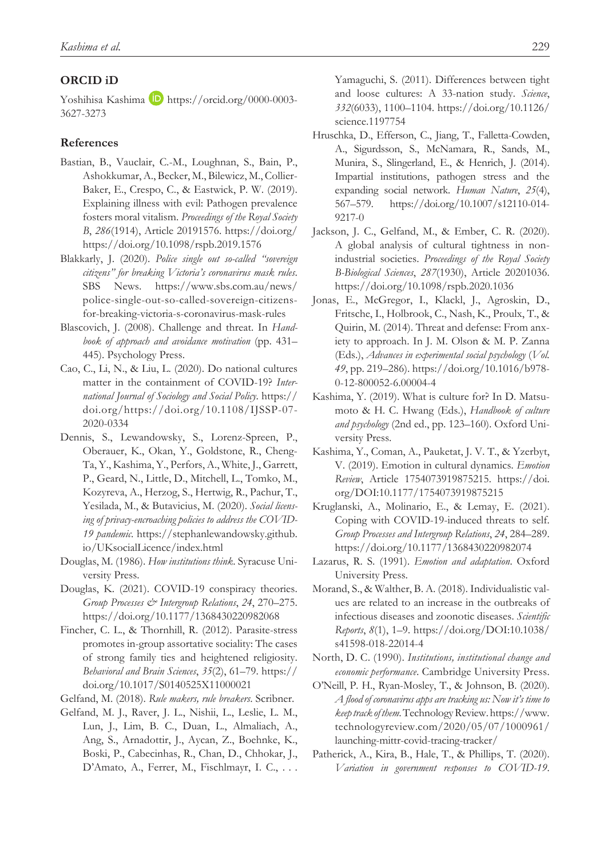#### **ORCID iD**

Yoshihisa Kashima **b** [https://orcid.org/0000-0003-](https://orcid.org/0000-0003-3627-3273) [3627-3273](https://orcid.org/0000-0003-3627-3273)

#### **References**

- Bastian, B., Vauclair, C.-M., Loughnan, S., Bain, P., Ashokkumar, A., Becker, M., Bilewicz, M., Collier-Baker, E., Crespo, C., & Eastwick, P. W. (2019). Explaining illness with evil: Pathogen prevalence fosters moral vitalism. *Proceedings of the Royal Society B*, *286*(1914), Article 20191576. [https://doi.org/](https://doi.org/https://doi.org/10.1098/rspb.2019.1576) [https://doi.org/10.1098/rspb.2019.1576](https://doi.org/https://doi.org/10.1098/rspb.2019.1576)
- Blakkarly, J. (2020). *Police single out so-called "sovereign citizens" for breaking Victoria's coronavirus mask rules*. SBS News. [https://www.sbs.com.au/news/](https://www.sbs.com.au/news/police-single-out-so-called-sovereign-citizens-for-breaking-victoria-s-coronavirus-mask-rules) [police-single-out-so-called-sovereign-citizens](https://www.sbs.com.au/news/police-single-out-so-called-sovereign-citizens-for-breaking-victoria-s-coronavirus-mask-rules)[for-breaking-victoria-s-coronavirus-mask-rules](https://www.sbs.com.au/news/police-single-out-so-called-sovereign-citizens-for-breaking-victoria-s-coronavirus-mask-rules)
- Blascovich, J. (2008). Challenge and threat. In *Handbook of approach and avoidance motivation* (pp. 431– 445). Psychology Press.
- Cao, C., Li, N., & Liu, L. (2020). Do national cultures matter in the containment of COVID-19? *International Journal of Sociology and Social Policy*. [https://](https://doi.org/https://doi.org/10.1108/IJSSP-07-2020-0334) [doi.org/https://doi.org/10.1108/IJSSP-07-](https://doi.org/https://doi.org/10.1108/IJSSP-07-2020-0334) [2020-0334](https://doi.org/https://doi.org/10.1108/IJSSP-07-2020-0334)
- Dennis, S., Lewandowsky, S., Lorenz-Spreen, P., Oberauer, K., Okan, Y., Goldstone, R., Cheng-Ta, Y., Kashima, Y., Perfors, A., White, J., Garrett, P., Geard, N., Little, D., Mitchell, L., Tomko, M., Kozyreva, A., Herzog, S., Hertwig, R., Pachur, T., Yesilada, M., & Butavicius, M. (2020). *Social licensing of privacy-encroaching policies to address the COVID-19 pandemic*. [https://stephanlewandowsky.github.](https://stephanlewandowsky.github.io/UKsocialLicence/index.html) [io/UKsocialLicence/index.html](https://stephanlewandowsky.github.io/UKsocialLicence/index.html)
- Douglas, M. (1986). *How institutions think*. Syracuse University Press.
- Douglas, K. (2021). COVID-19 conspiracy theories. *Group Processes & Intergroup Relations*, *24*, 270–275. <https://doi.org/10.1177/1368430220982068>
- Fincher, C. L., & Thornhill, R. (2012). Parasite-stress promotes in-group assortative sociality: The cases of strong family ties and heightened religiosity. *Behavioral and Brain Sciences*, *35*(2), 61–79. [https://](https://doi.org/10.1017/S0140525X11000021) [doi.org/10.1017/S0140525X11000021](https://doi.org/10.1017/S0140525X11000021)
- Gelfand, M. (2018). *Rule makers, rule breakers*. Scribner.
- Gelfand, M. J., Raver, J. L., Nishii, L., Leslie, L. M., Lun, J., Lim, B. C., Duan, L., Almaliach, A., Ang, S., Arnadottir, J., Aycan, Z., Boehnke, K., Boski, P., Cabecinhas, R., Chan, D., Chhokar, J., D'Amato, A., Ferrer, M., Fischlmayr, I. C., . . .

Yamaguchi, S. (2011). Differences between tight and loose cultures: A 33-nation study. *Science*, *332*(6033), 1100–1104. [https://doi.org/10.1126/](https://doi.org/10.1126/science.1197754) [science.1197754](https://doi.org/10.1126/science.1197754)

- Hruschka, D., Efferson, C., Jiang, T., Falletta-Cowden, A., Sigurdsson, S., McNamara, R., Sands, M., Munira, S., Slingerland, E., & Henrich, J. (2014). Impartial institutions, pathogen stress and the expanding social network. *Human Nature*, *25*(4), 567–579. [https://doi.org/10.1007/s12110-014-](https://doi.org/10.1007/s12110-014-9217-0) [9217-0](https://doi.org/10.1007/s12110-014-9217-0)
- Jackson, J. C., Gelfand, M., & Ember, C. R. (2020). A global analysis of cultural tightness in nonindustrial societies. *Proceedings of the Royal Society B-Biological Sciences*, *287*(1930), Article 20201036. <https://doi.org/10.1098/rspb.2020.1036>
- Jonas, E., McGregor, I., Klackl, J., Agroskin, D., Fritsche, I., Holbrook, C., Nash, K., Proulx, T., & Quirin, M. (2014). Threat and defense: From anxiety to approach. In J. M. Olson & M. P. Zanna (Eds.), *Advances in experimental social psychology* (*Vol. 49*, pp. 219–286). [https://doi.org/10.1016/b978-](https://doi.org/10.1016/b978-0-12-800052-6.00004-4) [0-12-800052-6.00004-4](https://doi.org/10.1016/b978-0-12-800052-6.00004-4)
- Kashima, Y. (2019). What is culture for? In D. Matsumoto & H. C. Hwang (Eds.), *Handbook of culture and psychology* (2nd ed., pp. 123–160). Oxford University Press.
- Kashima, Y., Coman, A., Pauketat, J. V. T., & Yzerbyt, V. (2019). Emotion in cultural dynamics. *Emotion Review*, Article 1754073919875215. [https://doi.](https://doi.org/DOI:10.1177/1754073919875215) [org/DOI:10.1177/1754073919875215](https://doi.org/DOI:10.1177/1754073919875215)
- Kruglanski, A., Molinario, E., & Lemay, E. (2021). Coping with COVID-19-induced threats to self. *Group Processes and Intergroup Relations*, *24*, 284–289. https://doi.org/10.1177/1368430220982074
- Lazarus, R. S. (1991). *Emotion and adaptation*. Oxford University Press.
- Morand, S., & Walther, B. A. (2018). Individualistic values are related to an increase in the outbreaks of infectious diseases and zoonotic diseases. *Scientific Reports*, *8*(1), 1–9. [https://doi.org/DOI:10.1038/](https://doi.org/DOI:10.1038/s41598-018-22014-4) [s41598-018-22014-4](https://doi.org/DOI:10.1038/s41598-018-22014-4)
- North, D. C. (1990). *Institutions, institutional change and economic performance*. Cambridge University Press.
- O'Neill, P. H., Ryan-Mosley, T., & Johnson, B. (2020). *A flood of coronavirus apps are tracking us: Now it's time to keep track of them*. Technology Review. [https://www.](https://www.technologyreview.com/2020/05/07/1000961/launching-mittr-covid-tracing-tracker/) [technologyreview.com/2020/05/07/1000961/](https://www.technologyreview.com/2020/05/07/1000961/launching-mittr-covid-tracing-tracker/) [launching-mittr-covid-tracing-tracker/](https://www.technologyreview.com/2020/05/07/1000961/launching-mittr-covid-tracing-tracker/)
- Patherick, A., Kira, B., Hale, T., & Phillips, T. (2020). *Variation in government responses to COVID-19*.